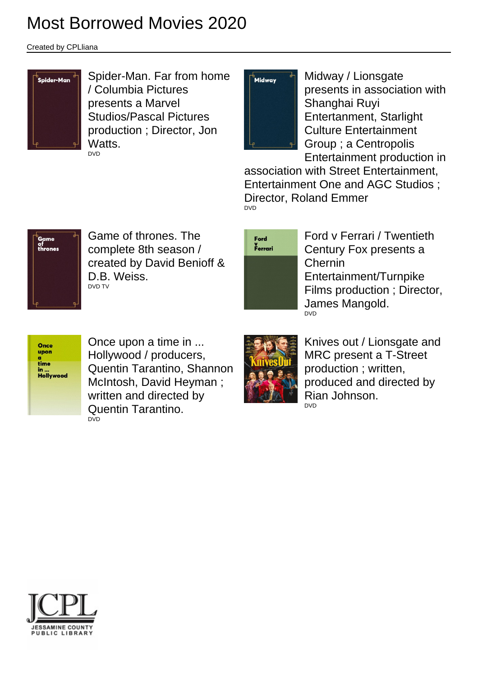## Most Borrowed Movies 2020

Created by CPLliana



Spider-Man. Far from home / Columbia Pictures presents a Marvel Studios/Pascal Pictures production ; Director, Jon Watts. DVD



Midway / Lionsgate presents in association with Shanghai Ruyi Entertanment, Starlight Culture Entertainment Group ; a Centropolis Entertainment production in

association with Street Entertainment, Entertainment One and AGC Studios ; Director, Roland Emmer DVD



Game of thrones. The complete 8th season / created by David Benioff & D.B. Weiss. DVD TV



Ford v Ferrari / Twentieth Century Fox presents a Chernin Entertainment/Turnpike Films production ; Director, James Mangold. DVD



Once upon a time in ... Hollywood / producers, Quentin Tarantino, Shannon McIntosh, David Heyman ; written and directed by Quentin Tarantino. DVD



Knives out / Lionsgate and MRC present a T-Street production ; written, produced and directed by Rian Johnson. DVD